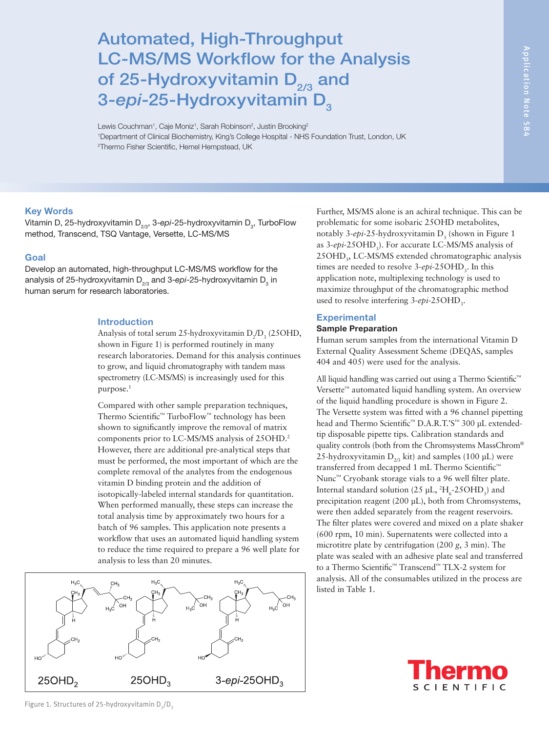# Automated, High-Throughput LC-MS/MS Workflow for the Analysis of 25-Hydroxyvitamin  $D_{2/3}$  and 3-epi-25-Hydroxyvitamin D<sub>3</sub>

Lewis Couchman<sup>1</sup>, Caje Moniz<sup>1</sup>, Sarah Robinson<sup>2</sup>, Justin Brooking<sup>2</sup> 1 Department of Clinical Biochemistry, King's College Hospital - NHS Foundation Trust, London, UK 2 Thermo Fisher Scientific, Hemel Hempstead, UK

## Key Words

Vitamin D, 25-hydroxyvitamin D<sub>2/3</sub>, 3-*epi-*25-hydroxyvitamin D<sub>3</sub>, TurboFlow method, Transcend, TSQ Vantage, Versette, LC-MS/MS

## Goal

Develop an automated, high-throughput LC-MS/MS workflow for the analysis of 25-hydroxyvitamin D<sub>2/3</sub> and 3-*epi-*25-hydroxyvitamin D<sub>3</sub> in human serum for research laboratories.

### Introduction

Analysis of total serum 25-hydroxyvitamin  $D_2/D_3$  (25OHD, shown in Figure 1) is performed routinely in many research laboratories. Demand for this analysis continues to grow, and liquid chromatography with tandem mass spectrometry (LC-MS/MS) is increasingly used for this purpose.1

Compared with other sample preparation techniques, Thermo Scientific™ TurboFlow™ technology has been shown to significantly improve the removal of matrix components prior to LC-MS/MS analysis of 25OHD.2 However, there are additional pre-analytical steps that must be performed, the most important of which are the complete removal of the analytes from the endogenous vitamin D binding protein and the addition of isotopically-labeled internal standards for quantitation. When performed manually, these steps can increase the total analysis time by approximately two hours for a batch of 96 samples. This application note presents a workflow that uses an automated liquid handling system to reduce the time required to prepare a 96 well plate for analysis to less than 20 minutes.



Further, MS/MS alone is an achiral technique. This can be problematic for some isobaric 25OHD metabolites, notably 3-*epi*-25-hydroxyvitamin D<sub>3</sub> (shown in Figure 1 as 3-*epi*-25OHD<sub>3</sub>). For accurate LC-MS/MS analysis of 25OHD<sub>3</sub>, LC-MS/MS extended chromatographic analysis times are needed to resolve 3-*epi*-25OHD<sub>3</sub>. In this application note, multiplexing technology is used to maximize throughput of the chromatographic method used to resolve interfering 3-*epi*-25OHD<sub>3</sub>.

## **Experimental**

# Sample Preparation

Human serum samples from the international Vitamin D External Quality Assessment Scheme (DEQAS, samples 404 and 405) were used for the analysis.

All liquid handling was carried out using a Thermo Scientific™ Versette™ automated liquid handling system. An overview of the liquid handling procedure is shown in Figure 2. The Versette system was fitted with a 96 channel pipetting head and Thermo Scientific™ D.A.R.T.'S™ 300 µL extendedtip disposable pipette tips. Calibration standards and quality controls (both from the Chromsystems MassChrom® 25-hydroxyvitamin  $D_{2/3}$  kit) and samples (100 µL) were transferred from decapped 1 mL Thermo Scientific™ Nunc<sup>™</sup> Cryobank storage vials to a 96 well filter plate. Internal standard solution (25  $\mu$ L, <sup>2</sup>H<sub>6</sub>-25OHD<sub>3</sub>) and precipitation reagent (200 µL), both from Chromsystems, were then added separately from the reagent reservoirs. The filter plates were covered and mixed on a plate shaker (600 rpm, 10 min). Supernatents were collected into a microtitre plate by centrifugation (200 *g*, 3 min). The plate was sealed with an adhesive plate seal and transferred to a Thermo Scientific™ Transcend™ TLX-2 system for analysis. All of the consumables utilized in the process are listed in Table 1.

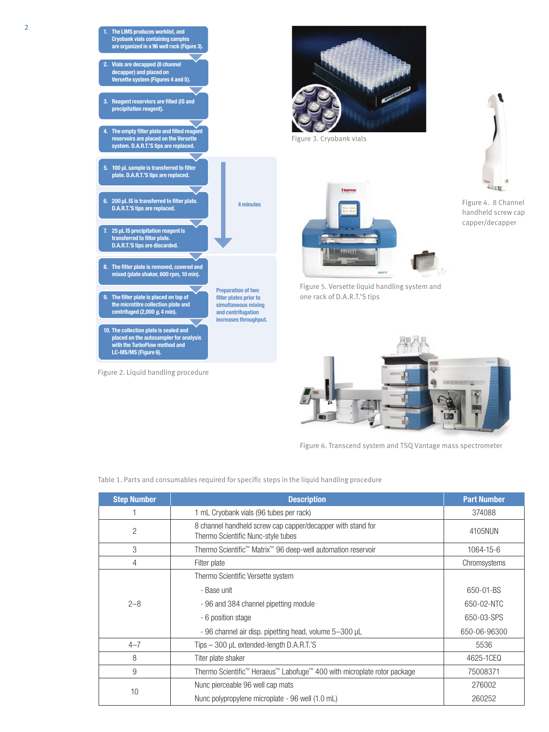

Figure 2. Liquid handling procedure

Figure 4. 8 Channel handheld screw cap



Figure 6. Transcend system and TSQ Vantage mass spectrometer

Table 1. Parts and consumables required for specific steps in the liquid handling procedure

| <b>Step Number</b> | <b>Description</b>                                                                                | <b>Part Number</b> |
|--------------------|---------------------------------------------------------------------------------------------------|--------------------|
|                    | 1 mL Cryobank vials (96 tubes per rack)                                                           | 374088             |
| $\overline{2}$     | 8 channel handheld screw cap capper/decapper with stand for<br>Thermo Scientific Nunc-style tubes | 4105NUN            |
| 3                  | Thermo Scientific <sup>™</sup> Matrix <sup>™</sup> 96 deep-well automation reservoir              | 1064-15-6          |
| 4                  | Filter plate                                                                                      | Chromsystems       |
|                    | Thermo Scientific Versette system                                                                 |                    |
|                    | - Base unit                                                                                       | 650-01-BS          |
| $2 - 8$            | - 96 and 384 channel pipetting module                                                             | 650-02-NTC         |
|                    | - 6 position stage                                                                                | 650-03-SPS         |
|                    | - 96 channel air disp. pipetting head, volume 5-300 µL                                            | 650-06-96300       |
| $4 - 7$            | Tips - 300 µL extended-length D.A.R.T.'S                                                          | 5536               |
| 8                  | Titer plate shaker                                                                                | 4625-1CEQ          |
| 9                  | Thermo Scientific <sup>™</sup> Heraeus™ Labofuge™ 400 with microplate rotor package               | 75008371           |
|                    | Nunc pierceable 96 well cap mats                                                                  | 276002             |
| 10                 | Nunc polypropylene microplate - 96 well (1.0 mL)                                                  | 260252             |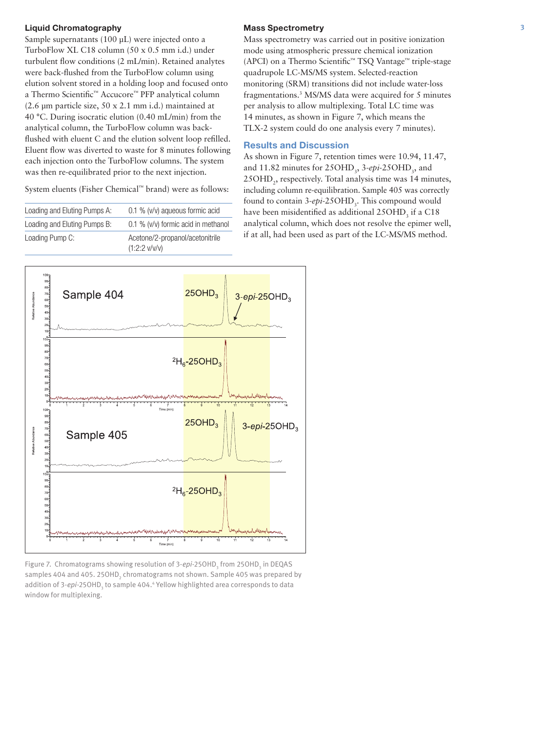## Liquid Chromatography

Sample supernatants (100 µL) were injected onto a TurboFlow XL C18 column (50 x 0.5 mm i.d.) under turbulent flow conditions (2 mL/min). Retained analytes were back-flushed from the TurboFlow column using elution solvent stored in a holding loop and focused onto a Thermo Scientific™ Accucore™ PFP analytical column (2.6 µm particle size, 50 x 2.1 mm i.d.) maintained at 40 °C. During isocratic elution (0.40 mL/min) from the analytical column, the TurboFlow column was backflushed with eluent C and the elution solvent loop refilled. Eluent flow was diverted to waste for 8 minutes following each injection onto the TurboFlow columns. The system was then re-equilibrated prior to the next injection.

System eluents (Fisher Chemical™ brand) were as follows:

| Loading and Eluting Pumps A: | $0.1\%$ (v/v) aqueous formic acid                  |
|------------------------------|----------------------------------------------------|
| Loading and Eluting Pumps B: | 0.1 % (v/v) formic acid in methanol                |
| Loading Pump C:              | Acetone/2-propanol/acetonitrile<br>$(1:2:2$ v/v/v) |

#### Mass Spectrometry

Mass spectrometry was carried out in positive ionization mode using atmospheric pressure chemical ionization (APCI) on a Thermo Scientific™ TSQ Vantage™ triple-stage quadrupole LC-MS/MS system. Selected-reaction monitoring (SRM) transitions did not include water-loss fragmentations.3 MS/MS data were acquired for 5 minutes per analysis to allow multiplexing. Total LC time was 14 minutes, as shown in Figure 7, which means the TLX-2 system could do one analysis every 7 minutes).

## Results and Discussion

As shown in Figure 7, retention times were 10.94, 11.47, and 11.82 minutes for 25OHD<sub>3</sub>, 3-*epi*-25OHD<sub>3</sub>, and 25OHD<sub>2</sub>, respectively. Total analysis time was 14 minutes, including column re-equilibration. Sample 405 was correctly found to contain 3-*epi*-25OHD<sub>3</sub>. This compound would have been misidentified as additional  $25OHD<sub>3</sub>$  if a C18 analytical column, which does not resolve the epimer well, if at all, had been used as part of the LC-MS/MS method.



Figure 7. Chromatograms showing resolution of 3-*epi*-25OHD<sub>3</sub> from 25OHD<sub>3</sub> in DEQAS samples 404 and 405. 25OHD $_{\rm 2}$  chromatograms not shown. Sample 405 was prepared by addition of 3-*epi-*25OHD<sub>3</sub> to sample 404.<sup>4</sup> Yellow highlighted area corresponds to data window for multiplexing.